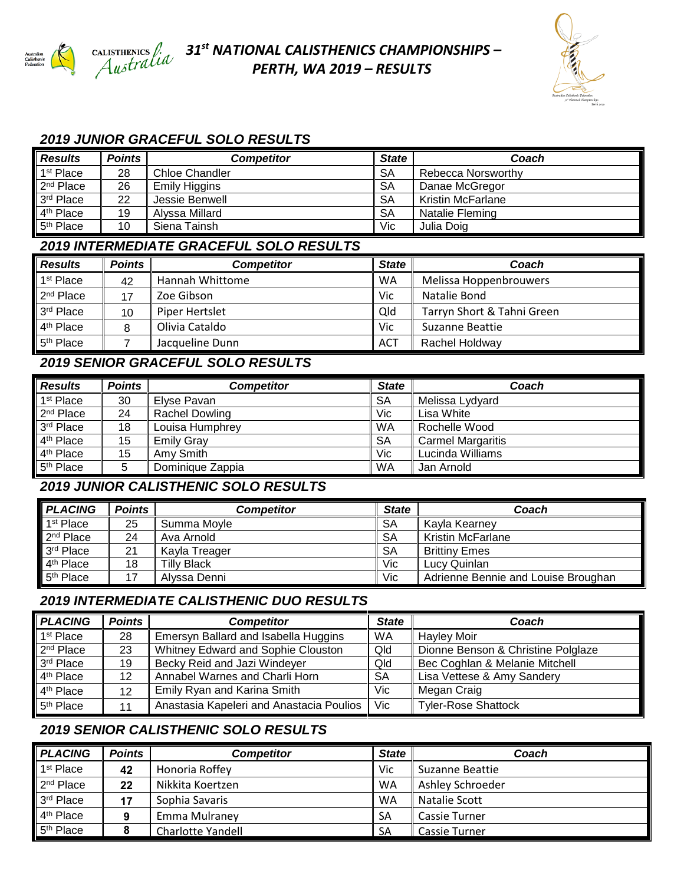

## *31 st NATIONAL CALISTHENICS CHAMPIONSHIPS – PERTH, WA 2019 – RESULTS*



### *2019 JUNIOR GRACEFUL SOLO RESULTS*

| <b>Results</b>        | <b>Points</b> | <b>Competitor</b>    | State     | Coach                    |
|-----------------------|---------------|----------------------|-----------|--------------------------|
| 1 <sup>st</sup> Place | 28            | Chloe Chandler       | <b>SA</b> | Rebecca Norsworthy       |
| 2 <sup>nd</sup> Place | 26            | <b>Emily Higgins</b> | <b>SA</b> | Danae McGregor           |
| 3 <sup>rd</sup> Place | 22            | Jessie Benwell       | SA        | <b>Kristin McFarlane</b> |
| 4 <sup>th</sup> Place | 19            | Alyssa Millard       | <b>SA</b> | Natalie Fleming          |
| 5 <sup>th</sup> Place | 10            | Siena Tainsh         | Vic       | Julia Doig               |

### *2019 INTERMEDIATE GRACEFUL SOLO RESULTS*

| <b>Results</b>        | <b>Points</b>           | <b>Competitor</b>     | <b>State</b> | Coach                      |  |
|-----------------------|-------------------------|-----------------------|--------------|----------------------------|--|
| 1 <sup>st</sup> Place | 42                      | Hannah Whittome       |              | Melissa Hoppenbrouwers     |  |
| $2nd$ Place           | Zoe Gibson<br>Vic<br>17 |                       |              | Natalie Bond               |  |
| 3rd Place             | 10                      | Qld<br>Piper Hertslet |              | Tarryn Short & Tahni Green |  |
| 4 <sup>th</sup> Place |                         | Olivia Cataldo        | Vic          | Suzanne Beattie            |  |
| 5 <sup>th</sup> Place |                         | Jacqueline Dunn       | <b>ACT</b>   | Rachel Holdway             |  |

### *2019 SENIOR GRACEFUL SOLO RESULTS*

| <b>Results</b>        | <b>Points</b> | <b>Competitor</b>     | <b>State</b> | Coach                    |
|-----------------------|---------------|-----------------------|--------------|--------------------------|
| 1 <sup>st</sup> Place | 30            | Elvse Pavan           | <b>SA</b>    | Melissa Lydyard          |
| 2 <sup>nd</sup> Place | 24            | <b>Rachel Dowling</b> | Vic          | Lisa White               |
| 3rd Place             | 18            | Louisa Humphrey       | WA           | Rochelle Wood            |
| 4 <sup>th</sup> Place | 15            | <b>Emily Gray</b>     | <b>SA</b>    | <b>Carmel Margaritis</b> |
| 4 <sup>th</sup> Place | 15            | Amy Smith             | Vic          | Lucinda Williams         |
| 5 <sup>th</sup> Place | 5             | Dominique Zappia      | WA           | Jan Arnold               |

### *2019 JUNIOR CALISTHENIC SOLO RESULTS*

| <b>PLACING</b>        | <b>Points</b> | <b>Competitor</b>  | <b>State</b> | Coach                               |
|-----------------------|---------------|--------------------|--------------|-------------------------------------|
| 1 <sup>st</sup> Place | 25            | Summa Moyle        | <b>SA</b>    | Kavla Kearnev                       |
| 2 <sup>nd</sup> Place | 24            | Ava Arnold         | <b>SA</b>    | <b>Kristin McFarlane</b>            |
| 3rd Place             | 21            | Kayla Treager      | SA           | <b>Brittiny Emes</b>                |
| 4 <sup>th</sup> Place | 18            | <b>Tilly Black</b> | Vic          | Lucy Quinlan                        |
| 5 <sup>th</sup> Place |               | Alyssa Denni       | Vic          | Adrienne Bennie and Louise Broughan |

### *2019 INTERMEDIATE CALISTHENIC DUO RESULTS*

| <b>PLACING</b>        | Points | <b>Competitor</b>                                  |     | Coach                              |
|-----------------------|--------|----------------------------------------------------|-----|------------------------------------|
| 1 <sup>st</sup> Place | 28     | Emersyn Ballard and Isabella Huggins               | WA  |                                    |
| 2 <sup>nd</sup> Place | 23     | Whitney Edward and Sophie Clouston<br>Qld          |     | Dionne Benson & Christine Polglaze |
| 3rd Place             | 19     | Becky Reid and Jazi Windeyer                       | Qld | Bec Coghlan & Melanie Mitchell     |
| 4 <sup>th</sup> Place | 12     | Annabel Warnes and Charli Horn<br><b>SA</b>        |     | Lisa Vettese & Amy Sandery         |
| 4 <sup>th</sup> Place | 12     | Emily Ryan and Karina Smith<br>Vic.<br>Megan Craig |     |                                    |
| 5 <sup>th</sup> Place |        | Anastasia Kapeleri and Anastacia Poulios           | Vic | <b>Tyler-Rose Shattock</b>         |

## *2019 SENIOR CALISTHENIC SOLO RESULTS*

| <b>PLACING</b>        | <b>Points</b> | Competitor        | <b>State</b> | Coach            |
|-----------------------|---------------|-------------------|--------------|------------------|
| 1 <sup>st</sup> Place | 42            | Honoria Roffey    | <b>Vic</b>   | Suzanne Beattie  |
| 2 <sup>nd</sup> Place | 22            | Nikkita Koertzen  | <b>WA</b>    | Ashley Schroeder |
| 3 <sup>rd</sup> Place |               | Sophia Savaris    | WA           | Natalie Scott    |
| 4 <sup>th</sup> Place |               | Emma Mulraney     | <b>SA</b>    | Cassie Turner    |
| 5 <sup>th</sup> Place |               | Charlotte Yandell | <b>SA</b>    | Cassie Turner    |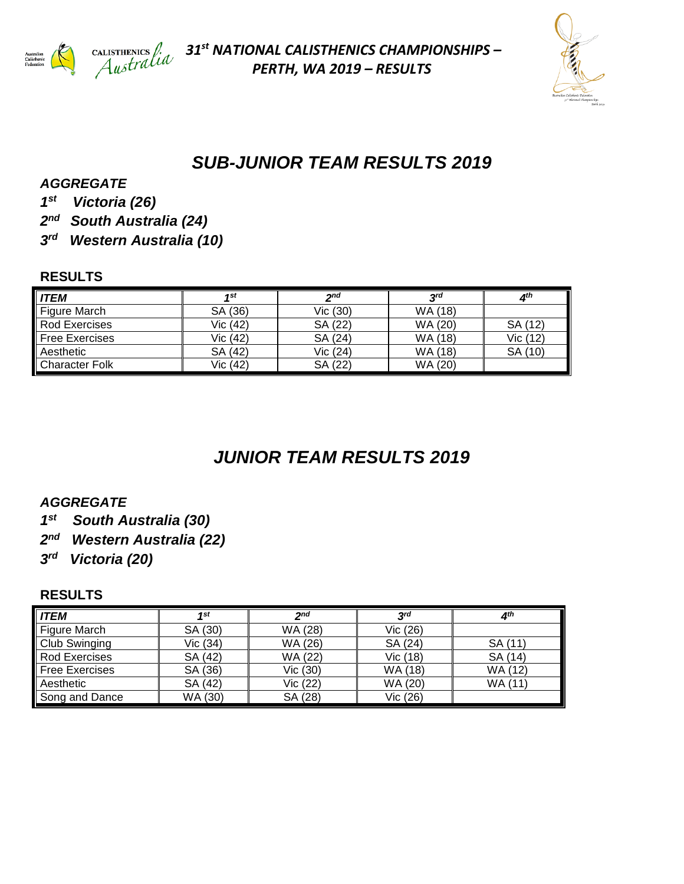

*31 st NATIONAL CALISTHENICS CHAMPIONSHIPS – PERTH, WA 2019 – RESULTS*



## *SUB-JUNIOR TEAM RESULTS 2019*

*AGGREGATE*

- *1 st Victoria (26)*
- *2 nd South Australia (24)*
- *3 rd Western Australia (10)*

### **RESULTS**

| <b>ITEM</b>           | 4st      | 2 <sub>nd</sub> | $3^{rd}$ | 4 <sup>th</sup> |
|-----------------------|----------|-----------------|----------|-----------------|
| Figure March          | SA (36)  | Vic (30)        | WA (18)  |                 |
| Rod Exercises         | Vic (42) | SA (22)         | WA (20)  | SA (12)         |
| <b>Free Exercises</b> | Vic (42) | SA (24)         | WA (18)  | Vic (12)        |
| Aesthetic             | SA (42)  | Vic (24)        | WA (18)  | SA (10)         |
| <b>Character Folk</b> | Vic (42) | SA (22)         | WA (20)  |                 |

# *JUNIOR TEAM RESULTS 2019*

### *AGGREGATE*

- *1 st South Australia (30)*
- *2 nd Western Australia (22)*
- *3 rd Victoria (20)*

### **RESULTS**

| <b>ITEM</b>           | 1st      | 2 <sub>nd</sub> | 3 <sup>rd</sup> | 4 <sup>th</sup> |
|-----------------------|----------|-----------------|-----------------|-----------------|
| Figure March          | SA (30)  | WA (28)         | Vic (26)        |                 |
| <b>Club Swinging</b>  | Vic (34) | WA (26)         | SA (24)         | SA (11)         |
| Rod Exercises         | SA (42)  | WA (22)         | Vic (18)        | SA (14)         |
| <b>Free Exercises</b> | SA (36)  | Vic (30)        | WA (18)         | WA (12)         |
| Aesthetic             | SA (42)  | Vic (22)        | WA (20)         | WA (11)         |
| Song and Dance        | WA (30)  | SA (28)         | Vic (26)        |                 |